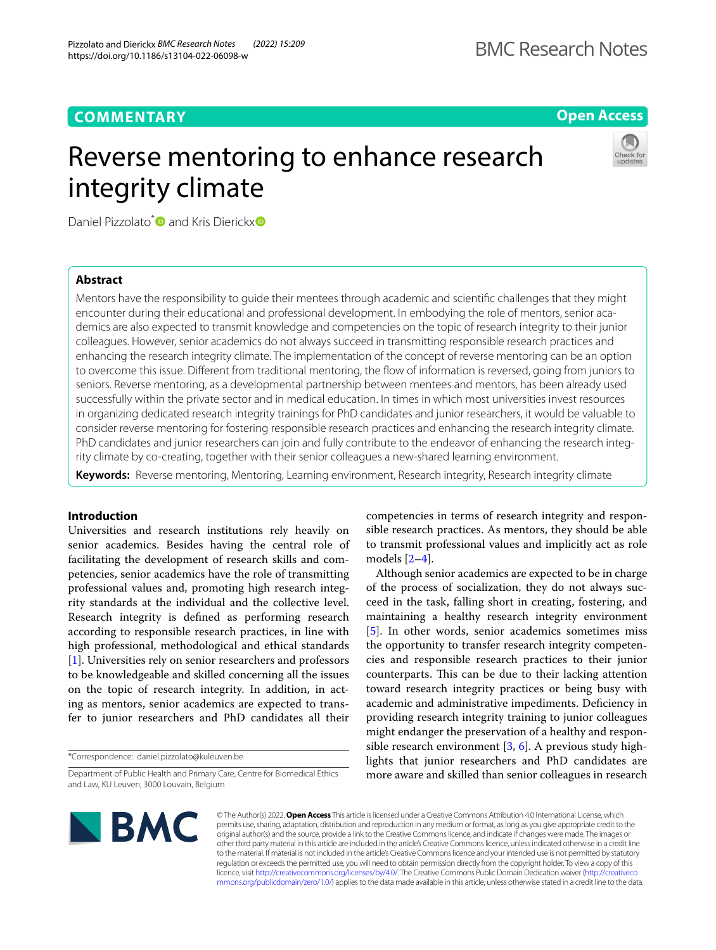# **COMMENTARY**

# **Open Access**

# Reverse mentoring to enhance research integrity climate



Daniel Pizzolato<sup>\*</sup> and Kris Dierickx<sup>®</sup>

# **Abstract**

Mentors have the responsibility to guide their mentees through academic and scientifc challenges that they might encounter during their educational and professional development. In embodying the role of mentors, senior academics are also expected to transmit knowledge and competencies on the topic of research integrity to their junior colleagues. However, senior academics do not always succeed in transmitting responsible research practices and enhancing the research integrity climate. The implementation of the concept of reverse mentoring can be an option to overcome this issue. Diferent from traditional mentoring, the fow of information is reversed, going from juniors to seniors. Reverse mentoring, as a developmental partnership between mentees and mentors, has been already used successfully within the private sector and in medical education. In times in which most universities invest resources in organizing dedicated research integrity trainings for PhD candidates and junior researchers, it would be valuable to consider reverse mentoring for fostering responsible research practices and enhancing the research integrity climate. PhD candidates and junior researchers can join and fully contribute to the endeavor of enhancing the research integrity climate by co-creating, together with their senior colleagues a new-shared learning environment.

**Keywords:** Reverse mentoring, Mentoring, Learning environment, Research integrity, Research integrity climate

# **Introduction**

Universities and research institutions rely heavily on senior academics. Besides having the central role of facilitating the development of research skills and competencies, senior academics have the role of transmitting professional values and, promoting high research integrity standards at the individual and the collective level. Research integrity is defned as performing research according to responsible research practices, in line with high professional, methodological and ethical standards [[1\]](#page-2-0). Universities rely on senior researchers and professors to be knowledgeable and skilled concerning all the issues on the topic of research integrity. In addition, in acting as mentors, senior academics are expected to transfer to junior researchers and PhD candidates all their

\*Correspondence: daniel.pizzolato@kuleuven.be

competencies in terms of research integrity and responsible research practices. As mentors, they should be able to transmit professional values and implicitly act as role models [[2–](#page-2-1)[4\]](#page-2-2).

Although senior academics are expected to be in charge of the process of socialization, they do not always succeed in the task, falling short in creating, fostering, and maintaining a healthy research integrity environment [[5\]](#page-2-3). In other words, senior academics sometimes miss the opportunity to transfer research integrity competencies and responsible research practices to their junior counterparts. This can be due to their lacking attention toward research integrity practices or being busy with academic and administrative impediments. Defciency in providing research integrity training to junior colleagues might endanger the preservation of a healthy and responsible research environment  $[3, 6]$  $[3, 6]$  $[3, 6]$  $[3, 6]$  $[3, 6]$ . A previous study highlights that junior researchers and PhD candidates are more aware and skilled than senior colleagues in research



© The Author(s) 2022. **Open Access** This article is licensed under a Creative Commons Attribution 4.0 International License, which permits use, sharing, adaptation, distribution and reproduction in any medium or format, as long as you give appropriate credit to the original author(s) and the source, provide a link to the Creative Commons licence, and indicate if changes were made. The images or other third party material in this article are included in the article's Creative Commons licence, unless indicated otherwise in a credit line to the material. If material is not included in the article's Creative Commons licence and your intended use is not permitted by statutory regulation or exceeds the permitted use, you will need to obtain permission directly from the copyright holder. To view a copy of this licence, visit [http://creativecommons.org/licenses/by/4.0/.](http://creativecommons.org/licenses/by/4.0/) The Creative Commons Public Domain Dedication waiver ([http://creativeco](http://creativecommons.org/publicdomain/zero/1.0/) [mmons.org/publicdomain/zero/1.0/](http://creativecommons.org/publicdomain/zero/1.0/)) applies to the data made available in this article, unless otherwise stated in a credit line to the data.

Department of Public Health and Primary Care, Centre for Biomedical Ethics and Law, KU Leuven, 3000 Louvain, Belgium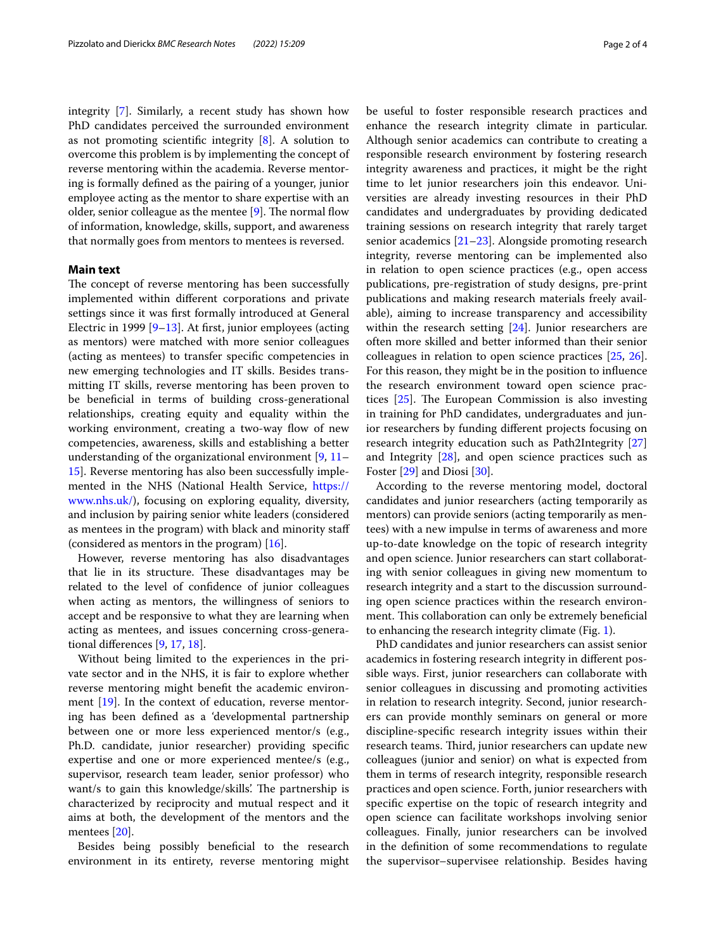integrity [\[7](#page-2-6)]. Similarly, a recent study has shown how PhD candidates perceived the surrounded environment as not promoting scientific integrity  $[8]$  $[8]$  $[8]$ . A solution to overcome this problem is by implementing the concept of reverse mentoring within the academia. Reverse mentoring is formally defned as the pairing of a younger, junior employee acting as the mentor to share expertise with an older, senior colleague as the mentee  $[9]$ . The normal flow of information, knowledge, skills, support, and awareness that normally goes from mentors to mentees is reversed.

# **Main text**

The concept of reverse mentoring has been successfully implemented within diferent corporations and private settings since it was frst formally introduced at General Electric in 1999 [[9–](#page-2-8)[13\]](#page-3-0). At frst, junior employees (acting as mentors) were matched with more senior colleagues (acting as mentees) to transfer specifc competencies in new emerging technologies and IT skills. Besides transmitting IT skills, reverse mentoring has been proven to be benefcial in terms of building cross-generational relationships, creating equity and equality within the working environment, creating a two-way flow of new competencies, awareness, skills and establishing a better understanding of the organizational environment [[9,](#page-2-8) [11–](#page-2-9) [15\]](#page-3-1). Reverse mentoring has also been successfully implemented in the NHS (National Health Service, [https://](https://www.nhs.uk/) [www.nhs.uk/\)](https://www.nhs.uk/), focusing on exploring equality, diversity, and inclusion by pairing senior white leaders (considered as mentees in the program) with black and minority staf (considered as mentors in the program) [\[16](#page-3-2)].

However, reverse mentoring has also disadvantages that lie in its structure. These disadvantages may be related to the level of confdence of junior colleagues when acting as mentors, the willingness of seniors to accept and be responsive to what they are learning when acting as mentees, and issues concerning cross-generational diferences [\[9](#page-2-8), [17,](#page-3-3) [18\]](#page-3-4).

Without being limited to the experiences in the private sector and in the NHS, it is fair to explore whether reverse mentoring might beneft the academic environment [[19\]](#page-3-5). In the context of education, reverse mentoring has been defned as a 'developmental partnership between one or more less experienced mentor/s (e.g., Ph.D. candidate, junior researcher) providing specifc expertise and one or more experienced mentee/s (e.g., supervisor, research team leader, senior professor) who want/s to gain this knowledge/skills'. The partnership is characterized by reciprocity and mutual respect and it aims at both, the development of the mentors and the mentees [\[20](#page-3-6)].

Besides being possibly beneficial to the research environment in its entirety, reverse mentoring might be useful to foster responsible research practices and enhance the research integrity climate in particular. Although senior academics can contribute to creating a responsible research environment by fostering research integrity awareness and practices, it might be the right time to let junior researchers join this endeavor. Universities are already investing resources in their PhD candidates and undergraduates by providing dedicated training sessions on research integrity that rarely target senior academics [[21](#page-3-7)[–23](#page-3-8)]. Alongside promoting research integrity, reverse mentoring can be implemented also in relation to open science practices (e.g., open access publications, pre-registration of study designs, pre-print publications and making research materials freely available), aiming to increase transparency and accessibility within the research setting [\[24](#page-3-9)]. Junior researchers are often more skilled and better informed than their senior colleagues in relation to open science practices [[25,](#page-3-10) [26](#page-3-11)]. For this reason, they might be in the position to infuence the research environment toward open science practices  $[25]$  $[25]$ . The European Commission is also investing in training for PhD candidates, undergraduates and junior researchers by funding diferent projects focusing on research integrity education such as Path2Integrity [[27](#page-3-12)] and Integrity [\[28](#page-3-13)], and open science practices such as Foster [[29](#page-3-14)] and Diosi [\[30](#page-3-15)].

According to the reverse mentoring model, doctoral candidates and junior researchers (acting temporarily as mentors) can provide seniors (acting temporarily as mentees) with a new impulse in terms of awareness and more up-to-date knowledge on the topic of research integrity and open science. Junior researchers can start collaborating with senior colleagues in giving new momentum to research integrity and a start to the discussion surrounding open science practices within the research environment. This collaboration can only be extremely beneficial to enhancing the research integrity climate (Fig. [1\)](#page-2-10).

PhD candidates and junior researchers can assist senior academics in fostering research integrity in diferent possible ways. First, junior researchers can collaborate with senior colleagues in discussing and promoting activities in relation to research integrity. Second, junior researchers can provide monthly seminars on general or more discipline-specifc research integrity issues within their research teams. Third, junior researchers can update new colleagues (junior and senior) on what is expected from them in terms of research integrity, responsible research practices and open science. Forth, junior researchers with specifc expertise on the topic of research integrity and open science can facilitate workshops involving senior colleagues. Finally, junior researchers can be involved in the defnition of some recommendations to regulate the supervisor–supervisee relationship. Besides having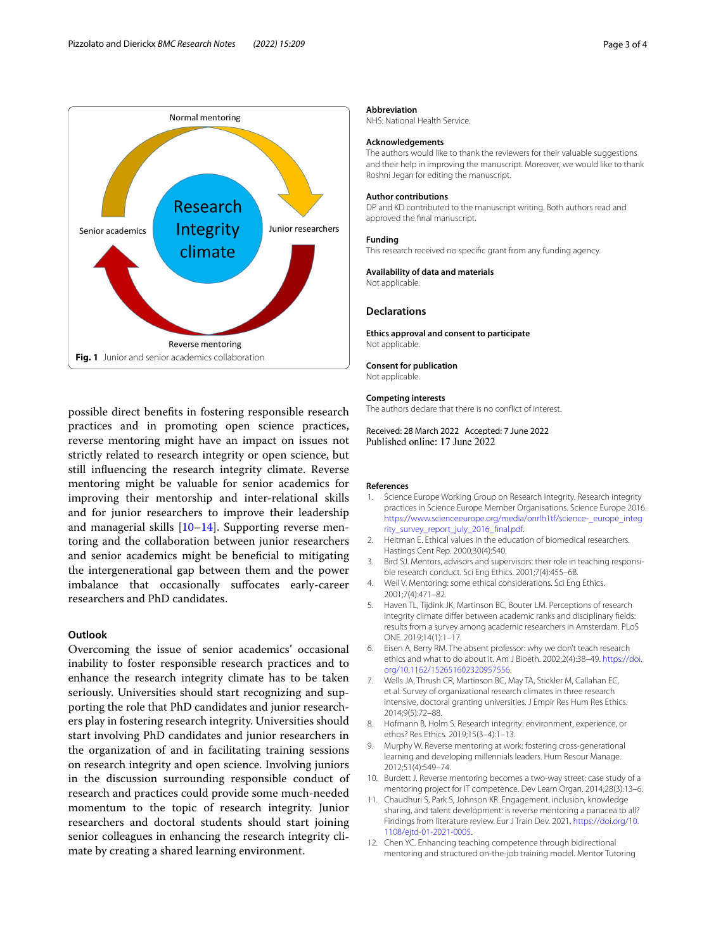

<span id="page-2-10"></span>possible direct benefts in fostering responsible research practices and in promoting open science practices, reverse mentoring might have an impact on issues not strictly related to research integrity or open science, but still infuencing the research integrity climate. Reverse mentoring might be valuable for senior academics for improving their mentorship and inter-relational skills and for junior researchers to improve their leadership and managerial skills [[10](#page-2-11)[–14](#page-3-16)]. Supporting reverse mentoring and the collaboration between junior researchers and senior academics might be benefcial to mitigating the intergenerational gap between them and the power imbalance that occasionally sufocates early-career researchers and PhD candidates.

# **Outlook**

Overcoming the issue of senior academics' occasional inability to foster responsible research practices and to enhance the research integrity climate has to be taken seriously. Universities should start recognizing and supporting the role that PhD candidates and junior researchers play in fostering research integrity. Universities should start involving PhD candidates and junior researchers in the organization of and in facilitating training sessions on research integrity and open science. Involving juniors in the discussion surrounding responsible conduct of research and practices could provide some much-needed momentum to the topic of research integrity. Junior researchers and doctoral students should start joining senior colleagues in enhancing the research integrity climate by creating a shared learning environment.

## **Abbreviation**

NHS: National Health Service.

## **Acknowledgements**

The authors would like to thank the reviewers for their valuable suggestions and their help in improving the manuscript. Moreover, we would like to thank Roshni Jegan for editing the manuscript.

### **Author contributions**

DP and KD contributed to the manuscript writing. Both authors read and approved the fnal manuscript.

#### **Funding**

This research received no specifc grant from any funding agency.

#### **Availability of data and materials**

Not applicable.

## **Declarations**

**Ethics approval and consent to participate** Not applicable.

### **Consent for publication**

Not applicable.

#### **Competing interests**

The authors declare that there is no confict of interest.

Received: 28 March 2022 Accepted: 7 June 2022 Published online: 17 June 2022

#### **References**

- <span id="page-2-0"></span>1. Science Europe Working Group on Research Integrity. Research integrity practices in Science Europe Member Organisations. Science Europe 2016. [https://www.scienceeurope.org/media/onrlh1tf/science-\\_europe\\_integ](https://www.scienceeurope.org/media/onrlh1tf/science-_europe_integrity_survey_report_july_2016_final.pdf) rity\_survey\_report\_july\_2016\_final.pdf.
- <span id="page-2-1"></span>2. Heitman E. Ethical values in the education of biomedical researchers. Hastings Cent Rep. 2000;30(4):S40.
- <span id="page-2-4"></span>3. Bird SJ. Mentors, advisors and supervisors: their role in teaching responsible research conduct. Sci Eng Ethics. 2001;7(4):455–68.
- <span id="page-2-2"></span>4. Weil V. Mentoring: some ethical considerations. Sci Eng Ethics. 2001;7(4):471–82.
- <span id="page-2-3"></span>5. Haven TL, Tijdink JK, Martinson BC, Bouter LM. Perceptions of research integrity climate differ between academic ranks and disciplinary fields: results from a survey among academic researchers in Amsterdam. PLoS ONE. 2019;14(1):1–17.
- <span id="page-2-5"></span>6. Eisen A, Berry RM. The absent professor: why we don't teach research ethics and what to do about it. Am J Bioeth. 2002;2(4):38–49. [https://doi.](https://doi.org/10.1162/152651602320957556) [org/10.1162/152651602320957556](https://doi.org/10.1162/152651602320957556).
- <span id="page-2-6"></span>7. Wells JA, Thrush CR, Martinson BC, May TA, Stickler M, Callahan EC, et al. Survey of organizational research climates in three research intensive, doctoral granting universities. J Empir Res Hum Res Ethics. 2014;9(5):72–88.
- <span id="page-2-7"></span>8. Hofmann B, Holm S. Research integrity: environment, experience, or ethos? Res Ethics. 2019;15(3–4):1–13.
- <span id="page-2-8"></span>9. Murphy W. Reverse mentoring at work: fostering cross-generational learning and developing millennials leaders. Hum Resour Manage. 2012;51(4):549–74.
- <span id="page-2-11"></span>10. Burdett J. Reverse mentoring becomes a two-way street: case study of a mentoring project for IT competence. Dev Learn Organ. 2014;28(3):13–6.
- <span id="page-2-9"></span>11. Chaudhuri S, Park S, Johnson KR. Engagement, inclusion, knowledge sharing, and talent development: is reverse mentoring a panacea to all? Findings from literature review. Eur J Train Dev. 2021. [https://doi.org/10.](https://doi.org/10.1108/ejtd-01-2021-0005) [1108/ejtd-01-2021-0005.](https://doi.org/10.1108/ejtd-01-2021-0005)
- 12. Chen YC. Enhancing teaching competence through bidirectional mentoring and structured on-the-job training model. Mentor Tutoring